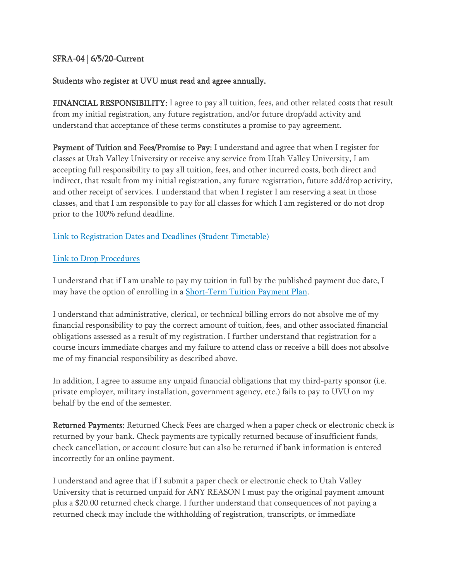# SFRA-04 | 6/5/20-Current

# Students who register at UVU must read and agree annually.

FINANCIAL RESPONSIBILITY: I agree to pay all tuition, fees, and other related costs that result from my initial registration, any future registration, and/or future drop/add activity and understand that acceptance of these terms constitutes a promise to pay agreement.

Payment of Tuition and Fees/Promise to Pay: I understand and agree that when I register for classes at Utah Valley University or receive any service from Utah Valley University, I am accepting full responsibility to pay all tuition, fees, and other incurred costs, both direct and indirect, that result from my initial registration, any future registration, future add/drop activity, and other receipt of services. I understand that when I register I am reserving a seat in those classes, and that I am responsible to pay for all classes for which I am registered or do not drop prior to the 100% refund deadline.

# [Link to Registration Dates and Deadlines \(Student Timetable\)](https://www.uvu.edu/registration/registration_deadlines/)

#### [Link to Drop Procedures](https://www.uvu.edu/registration/add-drop-withdraw.html)

I understand that if I am unable to pay my tuition in full by the published payment due date, I may have the option of enrolling in a [Short-Term Tuition Payment Plan.](https://www.uvu.edu/collections/tuition.html)

I understand that administrative, clerical, or technical billing errors do not absolve me of my financial responsibility to pay the correct amount of tuition, fees, and other associated financial obligations assessed as a result of my registration. I further understand that registration for a course incurs immediate charges and my failure to attend class or receive a bill does not absolve me of my financial responsibility as described above.

In addition, I agree to assume any unpaid financial obligations that my third-party sponsor (i.e. private employer, military installation, government agency, etc.) fails to pay to UVU on my behalf by the end of the semester.

Returned Payments: Returned Check Fees are charged when a paper check or electronic check is returned by your bank. Check payments are typically returned because of insufficient funds, check cancellation, or account closure but can also be returned if bank information is entered incorrectly for an online payment.

I understand and agree that if I submit a paper check or electronic check to Utah Valley University that is returned unpaid for ANY REASON I must pay the original payment amount plus a \$20.00 returned check charge. I further understand that consequences of not paying a returned check may include the withholding of registration, transcripts, or immediate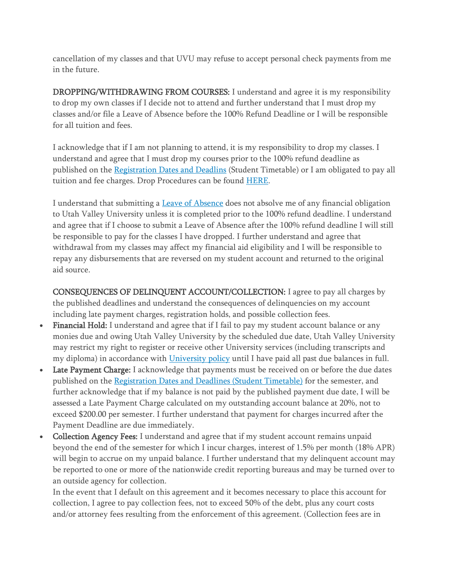cancellation of my classes and that UVU may refuse to accept personal check payments from me in the future.

DROPPING/WITHDRAWING FROM COURSES: I understand and agree it is my responsibility to drop my own classes if I decide not to attend and further understand that I must drop my classes and/or file a Leave of Absence before the 100% Refund Deadline or I will be responsible for all tuition and fees.

I acknowledge that if I am not planning to attend, it is my responsibility to drop my classes. I understand and agree that I must drop my courses prior to the 100% refund deadline as published on the [Registration Dates and Deadlins](https://www.uvu.edu/registration/registration_deadlines/) (Student Timetable) or I am obligated to pay all tuition and fee charges. Drop Procedures can be found [HERE.](https://www.uvu.edu/registration/add-drop-withdraw.html)

I understand that submitting a [Leave of Absence](https://www.uvu.edu/leaveofabsence/) does not absolve me of any financial obligation to Utah Valley University unless it is completed prior to the 100% refund deadline. I understand and agree that if I choose to submit a Leave of Absence after the 100% refund deadline I will still be responsible to pay for the classes I have dropped. I further understand and agree that withdrawal from my classes may affect my financial aid eligibility and I will be responsible to repay any disbursements that are reversed on my student account and returned to the original aid source.

CONSEQUENCES OF DELINQUENT ACCOUNT/COLLECTION: I agree to pay all charges by the published deadlines and understand the consequences of delinquencies on my account including late payment charges, registration holds, and possible collection fees.

- Financial Hold: I understand and agree that if I fail to pay my student account balance or any monies due and owing Utah Valley University by the scheduled due date, Utah Valley University may restrict my right to register or receive other University services (including transcripts and my diploma) in accordance with [University policy](https://www.uvu.edu/policies/manual/index.html) until I have paid all past due balances in full.
- Late Payment Charge: I acknowledge that payments must be received on or before the due dates published on the [Registration Dates and Deadlines \(Student Timetable\)](https://www.uvu.edu/registration/registration_deadlines/) for the semester, and further acknowledge that if my balance is not paid by the published payment due date, I will be assessed a Late Payment Charge calculated on my outstanding account balance at 20%, not to exceed \$200.00 per semester. I further understand that payment for charges incurred after the Payment Deadline are due immediately.
- Collection Agency Fees: I understand and agree that if my student account remains unpaid beyond the end of the semester for which I incur charges, interest of 1.5% per month (18% APR) will begin to accrue on my unpaid balance. I further understand that my delinquent account may be reported to one or more of the nationwide credit reporting bureaus and may be turned over to an outside agency for collection.

In the event that I default on this agreement and it becomes necessary to place this account for collection, I agree to pay collection fees, not to exceed 50% of the debt, plus any court costs and/or attorney fees resulting from the enforcement of this agreement. (Collection fees are in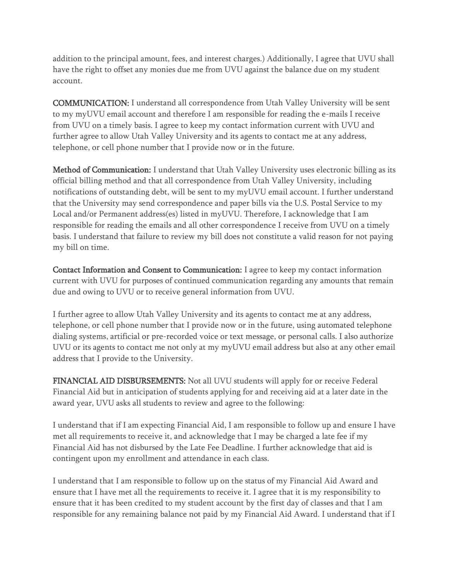addition to the principal amount, fees, and interest charges.) Additionally, I agree that UVU shall have the right to offset any monies due me from UVU against the balance due on my student account.

COMMUNICATION: I understand all correspondence from Utah Valley University will be sent to my myUVU email account and therefore I am responsible for reading the e-mails I receive from UVU on a timely basis. I agree to keep my contact information current with UVU and further agree to allow Utah Valley University and its agents to contact me at any address, telephone, or cell phone number that I provide now or in the future.

Method of Communication: I understand that Utah Valley University uses electronic billing as its official billing method and that all correspondence from Utah Valley University, including notifications of outstanding debt, will be sent to my myUVU email account. I further understand that the University may send correspondence and paper bills via the U.S. Postal Service to my Local and/or Permanent address(es) listed in myUVU. Therefore, I acknowledge that I am responsible for reading the emails and all other correspondence I receive from UVU on a timely basis. I understand that failure to review my bill does not constitute a valid reason for not paying my bill on time.

Contact Information and Consent to Communication: I agree to keep my contact information current with UVU for purposes of continued communication regarding any amounts that remain due and owing to UVU or to receive general information from UVU.

I further agree to allow Utah Valley University and its agents to contact me at any address, telephone, or cell phone number that I provide now or in the future, using automated telephone dialing systems, artificial or pre-recorded voice or text message, or personal calls. I also authorize UVU or its agents to contact me not only at my myUVU email address but also at any other email address that I provide to the University.

FINANCIAL AID DISBURSEMENTS: Not all UVU students will apply for or receive Federal Financial Aid but in anticipation of students applying for and receiving aid at a later date in the award year, UVU asks all students to review and agree to the following:

I understand that if I am expecting Financial Aid, I am responsible to follow up and ensure I have met all requirements to receive it, and acknowledge that I may be charged a late fee if my Financial Aid has not disbursed by the Late Fee Deadline. I further acknowledge that aid is contingent upon my enrollment and attendance in each class.

I understand that I am responsible to follow up on the status of my Financial Aid Award and ensure that I have met all the requirements to receive it. I agree that it is my responsibility to ensure that it has been credited to my student account by the first day of classes and that I am responsible for any remaining balance not paid by my Financial Aid Award. I understand that if I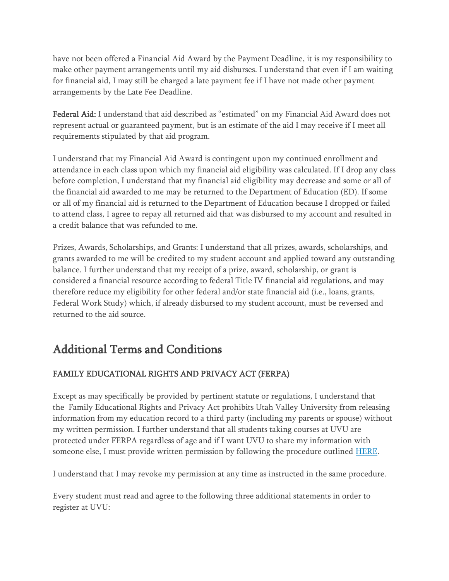have not been offered a Financial Aid Award by the Payment Deadline, it is my responsibility to make other payment arrangements until my aid disburses. I understand that even if I am waiting for financial aid, I may still be charged a late payment fee if I have not made other payment arrangements by the Late Fee Deadline.

Federal Aid: I understand that aid described as "estimated" on my Financial Aid Award does not represent actual or guaranteed payment, but is an estimate of the aid I may receive if I meet all requirements stipulated by that aid program.

I understand that my Financial Aid Award is contingent upon my continued enrollment and attendance in each class upon which my financial aid eligibility was calculated. If I drop any class before completion, I understand that my financial aid eligibility may decrease and some or all of the financial aid awarded to me may be returned to the Department of Education (ED). If some or all of my financial aid is returned to the Department of Education because I dropped or failed to attend class, I agree to repay all returned aid that was disbursed to my account and resulted in a credit balance that was refunded to me.

Prizes, Awards, Scholarships, and Grants: I understand that all prizes, awards, scholarships, and grants awarded to me will be credited to my student account and applied toward any outstanding balance. I further understand that my receipt of a prize, award, scholarship, or grant is considered a financial resource according to federal Title IV financial aid regulations, and may therefore reduce my eligibility for other federal and/or state financial aid (i.e., loans, grants, Federal Work Study) which, if already disbursed to my student account, must be reversed and returned to the aid source.

# Additional Terms and Conditions

# FAMILY EDUCATIONAL RIGHTS AND PRIVACY ACT (FERPA)

Except as may specifically be provided by pertinent statute or regulations, I understand that the Family Educational Rights and Privacy Act prohibits Utah Valley University from releasing information from my education record to a third party (including my parents or spouse) without my written permission. I further understand that all students taking courses at UVU are protected under FERPA regardless of age and if I want UVU to share my information with someone else, I must provide written permission by following the procedure outlined [HERE.](https://www.uvu.edu/records/ferpa.html)

I understand that I may revoke my permission at any time as instructed in the same procedure.

Every student must read and agree to the following three additional statements in order to register at UVU: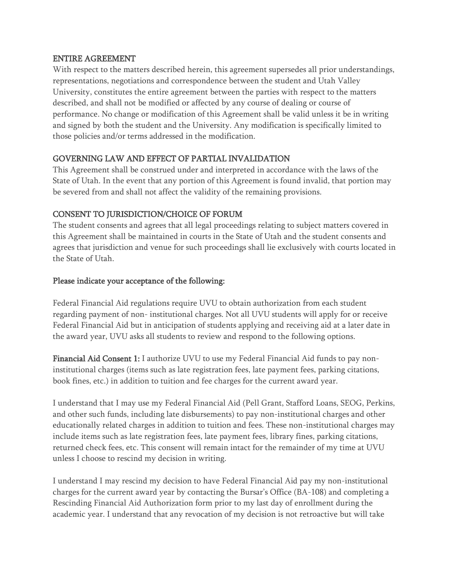#### ENTIRE AGREEMENT

With respect to the matters described herein, this agreement supersedes all prior understandings, representations, negotiations and correspondence between the student and Utah Valley University, constitutes the entire agreement between the parties with respect to the matters described, and shall not be modified or affected by any course of dealing or course of performance. No change or modification of this Agreement shall be valid unless it be in writing and signed by both the student and the University. Any modification is specifically limited to those policies and/or terms addressed in the modification.

# GOVERNING LAW AND EFFECT OF PARTIAL INVALIDATION

This Agreement shall be construed under and interpreted in accordance with the laws of the State of Utah. In the event that any portion of this Agreement is found invalid, that portion may be severed from and shall not affect the validity of the remaining provisions.

#### CONSENT TO JURISDICTION/CHOICE OF FORUM

The student consents and agrees that all legal proceedings relating to subject matters covered in this Agreement shall be maintained in courts in the State of Utah and the student consents and agrees that jurisdiction and venue for such proceedings shall lie exclusively with courts located in the State of Utah.

#### Please indicate your acceptance of the following:

Federal Financial Aid regulations require UVU to obtain authorization from each student regarding payment of non- institutional charges. Not all UVU students will apply for or receive Federal Financial Aid but in anticipation of students applying and receiving aid at a later date in the award year, UVU asks all students to review and respond to the following options.

Financial Aid Consent 1: I authorize UVU to use my Federal Financial Aid funds to pay noninstitutional charges (items such as late registration fees, late payment fees, parking citations, book fines, etc.) in addition to tuition and fee charges for the current award year.

I understand that I may use my Federal Financial Aid (Pell Grant, Stafford Loans, SEOG, Perkins, and other such funds, including late disbursements) to pay non-institutional charges and other educationally related charges in addition to tuition and fees. These non-institutional charges may include items such as late registration fees, late payment fees, library fines, parking citations, returned check fees, etc. This consent will remain intact for the remainder of my time at UVU unless I choose to rescind my decision in writing.

I understand I may rescind my decision to have Federal Financial Aid pay my non-institutional charges for the current award year by contacting the Bursar's Office (BA-108) and completing a Rescinding Financial Aid Authorization form prior to my last day of enrollment during the academic year. I understand that any revocation of my decision is not retroactive but will take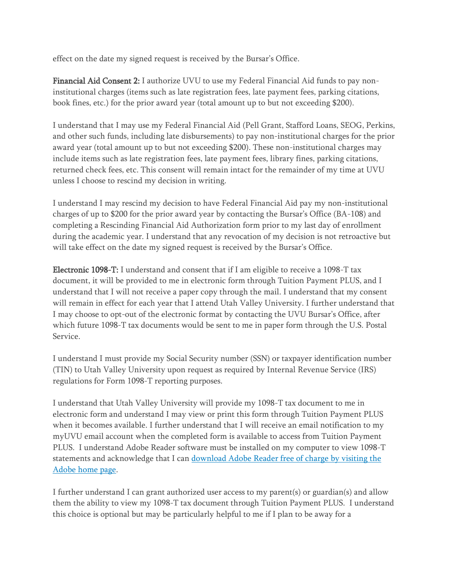effect on the date my signed request is received by the Bursar's Office.

Financial Aid Consent 2: I authorize UVU to use my Federal Financial Aid funds to pay noninstitutional charges (items such as late registration fees, late payment fees, parking citations, book fines, etc.) for the prior award year (total amount up to but not exceeding \$200).

I understand that I may use my Federal Financial Aid (Pell Grant, Stafford Loans, SEOG, Perkins, and other such funds, including late disbursements) to pay non-institutional charges for the prior award year (total amount up to but not exceeding \$200). These non-institutional charges may include items such as late registration fees, late payment fees, library fines, parking citations, returned check fees, etc. This consent will remain intact for the remainder of my time at UVU unless I choose to rescind my decision in writing.

I understand I may rescind my decision to have Federal Financial Aid pay my non-institutional charges of up to \$200 for the prior award year by contacting the Bursar's Office (BA-108) and completing a Rescinding Financial Aid Authorization form prior to my last day of enrollment during the academic year. I understand that any revocation of my decision is not retroactive but will take effect on the date my signed request is received by the Bursar's Office.

Electronic 1098-T: I understand and consent that if I am eligible to receive a 1098-T tax document, it will be provided to me in electronic form through Tuition Payment PLUS, and I understand that I will not receive a paper copy through the mail. I understand that my consent will remain in effect for each year that I attend Utah Valley University. I further understand that I may choose to opt-out of the electronic format by contacting the UVU Bursar's Office, after which future 1098-T tax documents would be sent to me in paper form through the U.S. Postal Service.

I understand I must provide my Social Security number (SSN) or taxpayer identification number (TIN) to Utah Valley University upon request as required by Internal Revenue Service (IRS) regulations for Form 1098-T reporting purposes.

I understand that Utah Valley University will provide my 1098-T tax document to me in electronic form and understand I may view or print this form through Tuition Payment PLUS when it becomes available. I further understand that I will receive an email notification to my myUVU email account when the completed form is available to access from Tuition Payment PLUS. I understand Adobe Reader software must be installed on my computer to view 1098-T statements and acknowledge that I can [download Adobe Reader free of charge by visiting the](https://get.adobe.com/reader/otherversions/)  [Adobe home page.](https://get.adobe.com/reader/otherversions/)

I further understand I can grant authorized user access to my parent(s) or guardian(s) and allow them the ability to view my 1098-T tax document through Tuition Payment PLUS. I understand this choice is optional but may be particularly helpful to me if I plan to be away for a